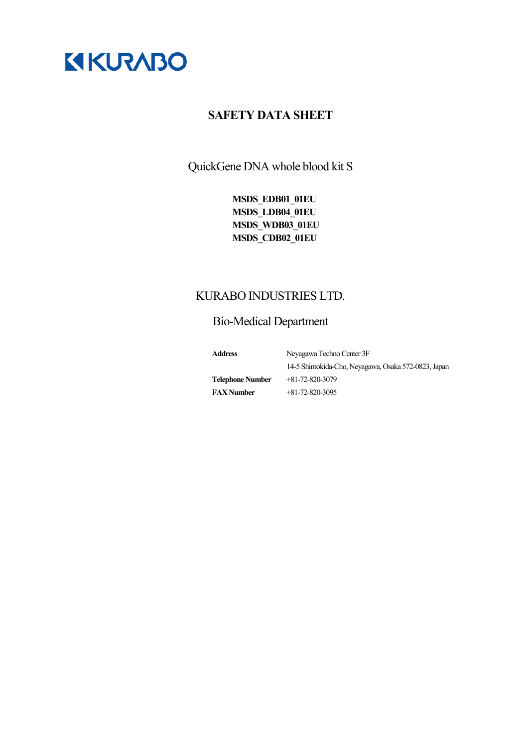

QuickGene DNA whole blood kit S

**MSDS\_EDB01\_01EU MSDS\_LDB04\_01EU MSDS\_WDB03\_01EU MSDS\_CDB02\_01EU**

# KURABO INDUSTRIES LTD.

# Bio-Medical Department

| <b>Address</b>          | Nevagawa Techno Center 3F                           |
|-------------------------|-----------------------------------------------------|
|                         | 14-5 Shimokida-Cho, Neyagawa, Osaka 572-0823, Japan |
| <b>Telephone Number</b> | $+81-72-820-3079$                                   |
| <b>FAX</b> Number       | $+81-72-820-3095$                                   |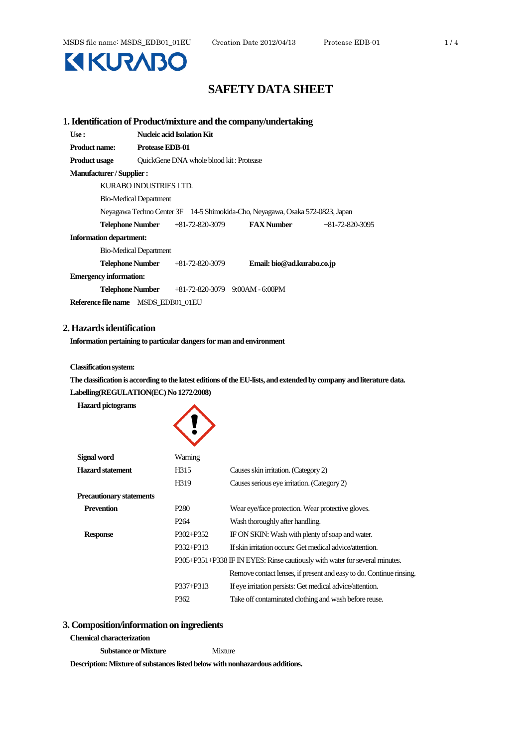

|                                     |                               |                                         | 1. Identification of Product/mixture and the company/undertaking              |                   |
|-------------------------------------|-------------------------------|-----------------------------------------|-------------------------------------------------------------------------------|-------------------|
| Use:                                |                               | <b>Nucleic acid Isolation Kit</b>       |                                                                               |                   |
| <b>Product name:</b>                | <b>Protease EDB-01</b>        |                                         |                                                                               |                   |
| <b>Product usage</b>                |                               | QuickGene DNA whole blood kit: Protease |                                                                               |                   |
| <b>Manufacturer/Supplier:</b>       |                               |                                         |                                                                               |                   |
|                                     | KURABO INDUSTRIES LTD.        |                                         |                                                                               |                   |
|                                     | <b>Bio-Medical Department</b> |                                         |                                                                               |                   |
|                                     |                               |                                         | Neyagawa Techno Center 3F 14-5 Shimokida-Cho, Neyagawa, Osaka 572-0823, Japan |                   |
|                                     | Telephone Number              | +81-72-820-3079                         | <b>FAX Number</b>                                                             | $+81-72-820-3095$ |
| <b>Information department:</b>      |                               |                                         |                                                                               |                   |
|                                     | <b>Bio-Medical Department</b> |                                         |                                                                               |                   |
|                                     | Telephone Number              | $+81-72-820-3079$                       | Email: bio@ad.kurabo.co.jp                                                    |                   |
| <b>Emergency information:</b>       |                               |                                         |                                                                               |                   |
|                                     | Telephone Number              |                                         | $+81-72-820-3079$ 9:00AM - 6:00PM                                             |                   |
| Reference file name MSDS_EDB01_01EU |                               |                                         |                                                                               |                   |

# **2. Hazards identification**

**Information pertaining to particular dangers for man and environment**

 $\blacktriangle$ 

**Classification system:**

**The classification is according to the latest editions of the EU-lists, and extended by company and literature data. Labelling(REGULATION(EC) No 1272/2008)**

**Hazard pictograms**

| Signal word                     | Warning          |                                                                             |
|---------------------------------|------------------|-----------------------------------------------------------------------------|
| <b>Hazard statement</b>         | H315             | Causes skin irritation. (Category 2)                                        |
|                                 | H319             | Causes serious eye irritation. (Category 2)                                 |
| <b>Precautionary statements</b> |                  |                                                                             |
| <b>Prevention</b>               | P280             | Wear eye/face protection. Wear protective gloves.                           |
|                                 | P <sub>264</sub> | Wash thoroughly after handling.                                             |
| <b>Response</b>                 | P302+P352        | IF ON SKIN: Wash with plenty of soap and water.                             |
|                                 | P332+P313        | If skin irritation occurs: Get medical advice/attention.                    |
|                                 |                  | P305+P351+P338 IF IN EYES: Rinse cautiously with water for several minutes. |
|                                 |                  | Remove contact lenses, if present and easy to do. Continue rinsing.         |
|                                 | P337+P313        | If eye irritation persists: Get medical advice/attention.                   |
|                                 | P362             | Take off contaminated clothing and wash before reuse.                       |
|                                 |                  |                                                                             |

#### **3. Composition/information on ingredients**

#### **Chemical characterization**

**Substance or Mixture** Mixture

**Description: Mixture of substances listed below with nonhazardous additions.**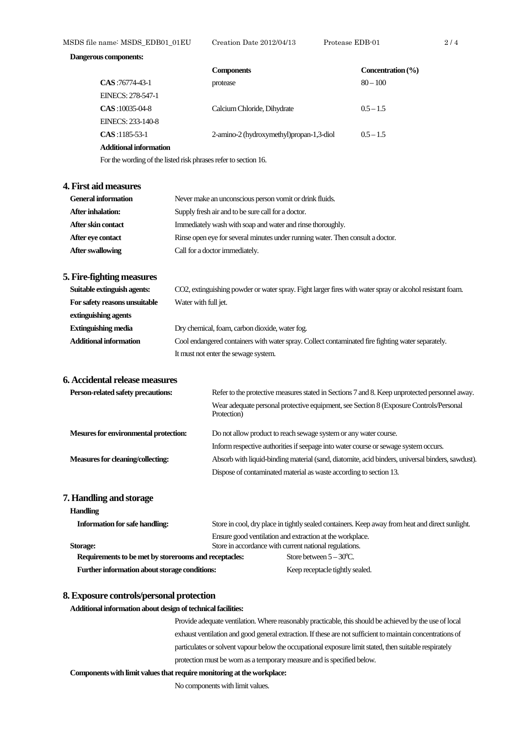#### **Dangerous components:**

|                        | <b>Components</b>                        | Concentration $(\% )$ |
|------------------------|------------------------------------------|-----------------------|
| CAS: 76774-43-1        | protease                                 | $80 - 100$            |
| EINECS: 278-547-1      |                                          |                       |
| $CAS:10035-04-8$       | Calcium Chloride, Dihydrate              | $0.5 - 1.5$           |
| EINECS: 233-140-8      |                                          |                       |
| $CAS:1185-53-1$        | 2-amino-2 (hydroxymethyl)propan-1,3-diol | $0.5 - 1.5$           |
| Additional information |                                          |                       |

For the wording of the listed risk phrases refer to section 16.

#### **4. First aid measures**

| <b>General information</b> | Never make an unconscious person vomit or drink fluids.                        |
|----------------------------|--------------------------------------------------------------------------------|
| After inhalation:          | Supply fresh air and to be sure call for a doctor.                             |
| After skin contact         | Immediately wash with soap and water and rinse thoroughly.                     |
| After eve contact          | Rinse open eye for several minutes under running water. Then consult a doctor. |
| <b>After swallowing</b>    | Call for a doctor immediately.                                                 |

### **5. Fire-fighting measures**

| Suitable extinguish agents:   | CO2, extinguishing powder or water spray. Fight larger fires with water spray or alcohol resistant foam. |
|-------------------------------|----------------------------------------------------------------------------------------------------------|
| For safety reasons unsuitable | Water with full jet.                                                                                     |
| extinguishing agents          |                                                                                                          |
| <b>Extinguishing media</b>    | Dry chemical, foam, carbon dioxide, water fog.                                                           |
| <b>Additional information</b> | Cool endangered containers with water spray. Collect contaminated fire fighting water separately.        |
|                               | It must not enter the sewage system.                                                                     |

# **6. Accidental release measures**

| <b>Person-related safety precautions:</b>    | Refer to the protective measures stated in Sections 7 and 8. Keep unprotected personnel away.         |
|----------------------------------------------|-------------------------------------------------------------------------------------------------------|
|                                              | Wear adequate personal protective equipment, see Section 8 (Exposure Controls/Personal<br>Protection) |
| <b>Mesures for environmental protection:</b> | Do not allow product to reach sewage system or any water course.                                      |
|                                              | Inform respective authorities if seepage into water course or sewage system occurs.                   |
| Measures for cleaning/collecting:            | Absorb with liquid-binding material (sand, diatomite, acid binders, universal binders, sawdust).      |
|                                              | Dispose of contaminated material as waste according to section 13.                                    |

# **7. Handling and storage**

## **Handling**

| <b>Information for safe handling:</b>                 | Store in cool, dry place in tightly sealed containers. Keep away from heat and direct sunlight. |
|-------------------------------------------------------|-------------------------------------------------------------------------------------------------|
|                                                       | Ensure good ventilation and extraction at the workplace.                                        |
| Storage:                                              | Store in accordance with current national regulations.                                          |
| Requirements to be met by storerooms and receptacles: | Store between $5-30^{\circ}$ C.                                                                 |
| Further information about storage conditions:         | Keep receptacle tightly sealed.                                                                 |
|                                                       |                                                                                                 |

#### **8. Exposure controls/personal protection**

#### **Additional information about design of technical facilities:**

Provide adequate ventilation. Where reasonably practicable, this should be achieved by the use of local exhaust ventilation and good general extraction. If these are not sufficient to maintain concentrations of particulates or solvent vapour below the occupational exposure limit stated, then suitable respirately protection must be worn as a temporary measure and is specified below.

#### **Components with limit values that require monitoring at the workplace:**

No components with limit values.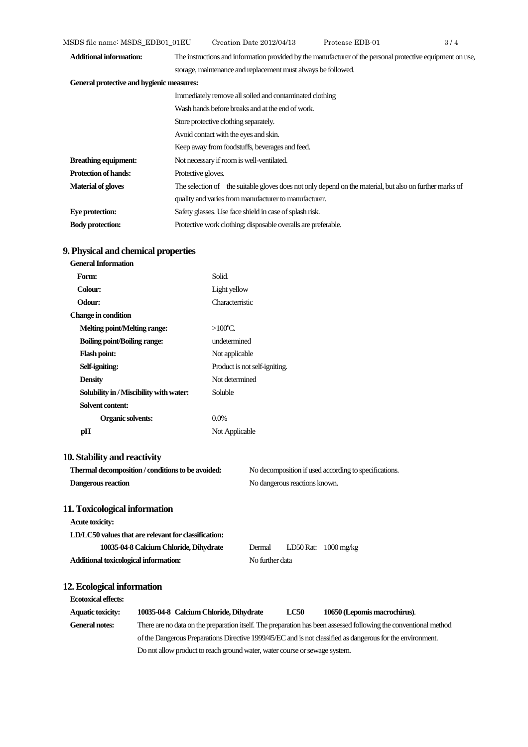| <b>Additional information:</b>            | The instructions and information provided by the manufacturer of the personal protective equipment on use, |
|-------------------------------------------|------------------------------------------------------------------------------------------------------------|
|                                           | storage, maintenance and replacement must always be followed.                                              |
| General protective and hygienic measures: |                                                                                                            |
|                                           | Immediately remove all soiled and contaminated clothing                                                    |
|                                           | Wash hands before breaks and at the end of work.                                                           |
|                                           | Store protective clothing separately.                                                                      |
|                                           | Avoid contact with the eyes and skin.                                                                      |
|                                           | Keep away from foodstuffs, beverages and feed.                                                             |
| <b>Breathing equipment:</b>               | Not necessary if room is well-ventilated.                                                                  |
| <b>Protection of hands:</b>               | Protective gloves.                                                                                         |
| <b>Material of gloves</b>                 | The selection of the suitable gloves does not only depend on the material, but also on further marks of    |
|                                           | quality and varies from manufacturer to manufacturer.                                                      |
| Eye protection:                           | Safety glasses. Use face shield in case of splash risk.                                                    |
| <b>Body protection:</b>                   | Protective work clothing; disposable overalls are preferable.                                              |

# **9. Physical and chemical properties**

| <b>General Information</b>                           |                   |                                                       |
|------------------------------------------------------|-------------------|-------------------------------------------------------|
| Form:                                                | Solid.            |                                                       |
| Colour:                                              | Light yellow      |                                                       |
| Odour:                                               | Characterristic   |                                                       |
| <b>Change in condition</b>                           |                   |                                                       |
| <b>Melting point/Melting range:</b>                  | $>100^{\circ}$ C. |                                                       |
| <b>Boiling point/Boiling range:</b>                  | undetermined      |                                                       |
| <b>Flash point:</b>                                  | Not applicable    |                                                       |
| Self-igniting:                                       |                   | Product is not self-igniting.                         |
| <b>Density</b>                                       | Not determined    |                                                       |
| Solubility in / Miscibility with water:              | Soluble           |                                                       |
| <b>Solvent content:</b>                              |                   |                                                       |
| Organic solvents:                                    | $0.0\%$           |                                                       |
| pH                                                   | Not Applicable    |                                                       |
| 10. Stability and reactivity                         |                   |                                                       |
| Thermal decomposition / conditions to be avoided:    |                   | No decomposition if used according to specifications. |
| Dangerous reaction                                   |                   | No dangerous reactions known.                         |
| 11. Toxicological information                        |                   |                                                       |
| <b>Acute toxicity:</b>                               |                   |                                                       |
| LD/LC50 values that are relevant for classification: |                   |                                                       |
| 10035-04-8 Calcium Chloride, Dihydrate               |                   | LD50 Rat: 1000 mg/kg<br>Dermal                        |
| Additional toxicological information:                |                   | No further data                                       |
| 12. Ecological information                           |                   |                                                       |

**Ecotoxical effects: Aquatic toxicity: 10035-04-8 Calcium Chloride, Dihydrate LC50 10650 (Lepomis macrochirus)**. **General notes:** There are no data on the preparation itself. The preparation has been assessed following the conventional method of the Dangerous Preparations Directive 1999/45/EC and is not classified as dangerous for the environment. Do not allow product to reach ground water, water course or sewage system.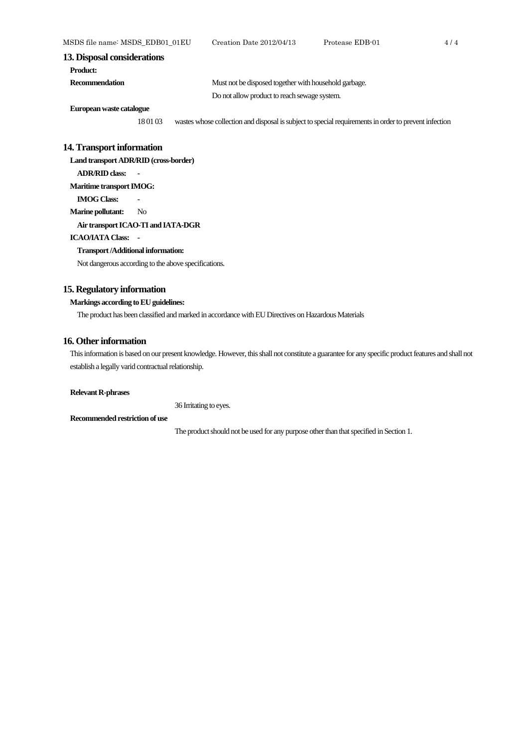#### **13. Disposal considerations**

**Recommendation** Must not be disposed together with household garbage.

Do not allow product to reach sewage system.

**Europeanwaste catalogue**

18 01 03 wastes whose collection and disposal is subject to special requirements in order to prevent infection

#### **14. Transport information**

**Land transport ADR/RID (cross-border) ADR/RID class: - Maritime transport IMOG: IMOG Class:** 

**Marine pollutant:** No

# **Air transport ICAO-TI and IATA-DGR**

#### **ICAO/IATA Class: -**

#### **Transport /Additional information:**

Not dangerous according to the above specifications.

#### **15. Regulatory information**

# **Markings according to EU guidelines:**

The product has been classified and marked in accordance with EU Directives on Hazardous Materials

#### **16. Other information**

This information is based on our present knowledge. However, this shall not constitute a guarantee for any specific product features and shall not establish a legally varid contractual relationship.

#### **Relevant R-phrases**

36 Irritating to eyes.

#### **Recommended restriction of use**

The product should not be used for any purpose other than that specified in Section 1.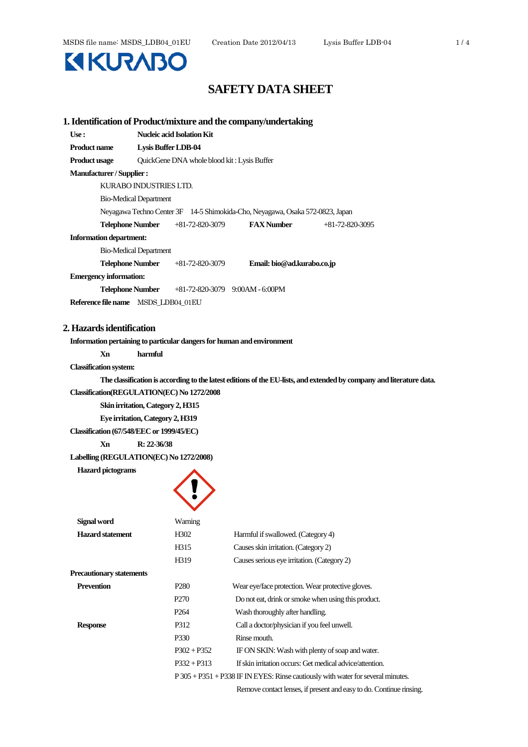

| Use:                                |                                             | Nucleic acid Isolation Kit              |                                                                               |                   |
|-------------------------------------|---------------------------------------------|-----------------------------------------|-------------------------------------------------------------------------------|-------------------|
| <b>Product name</b>                 | <b>Lysis Buffer LDB-04</b>                  |                                         |                                                                               |                   |
| <b>Product usage</b>                | QuickGene DNA whole blood kit: Lysis Buffer |                                         |                                                                               |                   |
| <b>Manufacturer/Supplier:</b>       |                                             |                                         |                                                                               |                   |
| KURABO INDUSTRIES LTD.              |                                             |                                         |                                                                               |                   |
| <b>Bio-Medical Department</b>       |                                             |                                         |                                                                               |                   |
|                                     |                                             |                                         | Neyagawa Techno Center 3F 14-5 Shimokida-Cho, Neyagawa, Osaka 572-0823, Japan |                   |
|                                     |                                             | <b>Telephone Number</b> +81-72-820-3079 | <b>FAX Number</b>                                                             | $+81-72-820-3095$ |
| <b>Information department:</b>      |                                             |                                         |                                                                               |                   |
| <b>Bio-Medical Department</b>       |                                             |                                         |                                                                               |                   |
| Telephone Number                    |                                             | +81-72-820-3079                         | Email: bio@ad.kurabo.co.jp                                                    |                   |
| <b>Emergency information:</b>       |                                             |                                         |                                                                               |                   |
|                                     |                                             |                                         | <b>Telephone Number</b> +81-72-820-3079 9:00AM - 6:00PM                       |                   |
| Reference file name MSDS_LDB04_01EU |                                             |                                         |                                                                               |                   |

#### **Information pertaining to particular dangers for human and environment**

**Xn harmful**

#### **Classification system:**

**The classification is according to the latest editions of the EU-lists, and extended by company and literature data.**

#### **Classification(REGULATION(EC) No 1272/2008**

**Skin irritation, Category 2, H315**

**Eye irritation, Category 2, H319**

**Classification (67/548/EEC or 1999/45/EC)**

**Xn R: 22-36/38**

# **Labelling (REGULATION(EC) No 1272/2008)**

**Hazard pictograms**



| Signal word              | Warning           |                                                                                      |
|--------------------------|-------------------|--------------------------------------------------------------------------------------|
| <b>Hazard statement</b>  | H <sub>3</sub> 02 | Harmful if swallowed. (Category 4)                                                   |
|                          | H315              | Causes skin irritation. (Category 2)                                                 |
|                          | H319              | Causes serious eye irritation. (Category 2)                                          |
| Precautionary statements |                   |                                                                                      |
| <b>Prevention</b>        | P <sub>280</sub>  | Wear eye/face protection. Wear protective gloves.                                    |
|                          | P <sub>270</sub>  | Do not eat, drink or smoke when using this product.                                  |
|                          | P <sub>264</sub>  | Wash thoroughly after handling.                                                      |
| <b>Response</b>          | P312              | Call a doctor/physician if you feel unwell.                                          |
|                          | P330              | Rinse mouth.                                                                         |
|                          | $P302 + P352$     | IF ON SKIN: Wash with plenty of soap and water.                                      |
|                          | $P332 + P313$     | If skin irritation occurs: Get medical advice/attention.                             |
|                          |                   | $P 305 + P 351 + P 338$ IF IN EYES: Rinse cautiously with water for several minutes. |
|                          |                   |                                                                                      |

Remove contact lenses, if present and easy to do. Continue rinsing.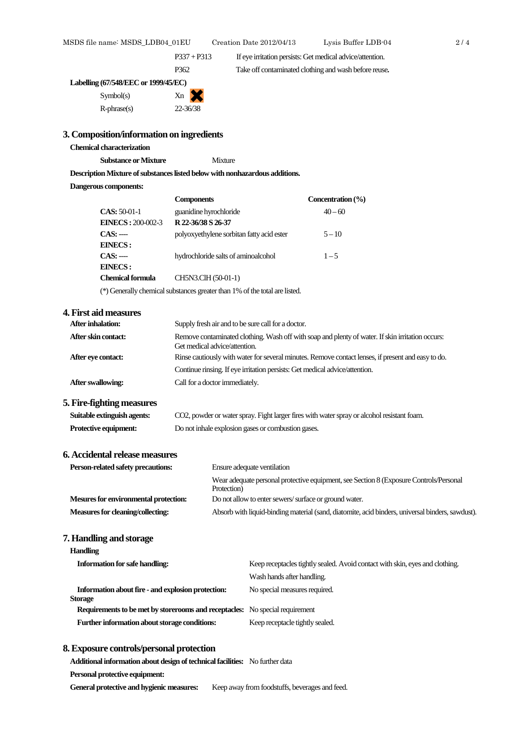P337 + P313 If eye irritation persists: Get medical advice/attention.

P362 Take off contaminated clothing and wash before reuse**.**

| Labelling (67/548/EEC or 1999/45/EC) |    |  |
|--------------------------------------|----|--|
| Symbol(s)                            | Xn |  |

| Symbol(s)         | Xn       |
|-------------------|----------|
| $R$ -phrase $(s)$ | 22-36/38 |

#### **3. Composition/information on ingredients**

# **Chemical characterization**

**Substance or Mixture** Mixture

**Description Mixture of substances listed below with nonhazardous additions.**

#### **Dangerous components:**

|                                                                            | <b>Components</b>                         | Concentration $(\% )$ |
|----------------------------------------------------------------------------|-------------------------------------------|-----------------------|
| $CAS: 50-01-1$                                                             | guanidine hyrochloride                    | $40 - 60$             |
| <b>EINECS: 200-002-3</b>                                                   | R 22-36/38 S 26-37                        |                       |
| $CAS: --$                                                                  | polyoxyethylene sorbitan fatty acid ester | $5 - 10$              |
| <b>EINECS:</b>                                                             |                                           |                       |
| $CAS: --$                                                                  | hydrochloride salts of aminoalcohol       | $1 - 5$               |
| EINECS:                                                                    |                                           |                       |
| <b>Chemical formula</b>                                                    | CH5N3.ClH (50-01-1)                       |                       |
| (*) Generally chemical substances greater than 1% of the total are listed. |                                           |                       |

#### **4. First aid measures**

| After inhalation:                         | Supply fresh air and to be sure call for a doctor.                                                                                                                                                                                      |
|-------------------------------------------|-----------------------------------------------------------------------------------------------------------------------------------------------------------------------------------------------------------------------------------------|
| After skin contact:<br>After eve contact: | Remove contaminated clothing. Wash off with soap and plenty of water. If skin irritation occurs:<br>Get medical advice/attention.<br>Rinse cautiously with water for several minutes. Remove contact lenses, if present and easy to do. |
|                                           | Continue rinsing. If eye irritation persists: Get medical advice/attention.                                                                                                                                                             |
| After swallowing:                         | Call for a doctor immediately.                                                                                                                                                                                                          |

#### **5. Fire-fighting measures**

| Suitable extinguish agents: | CO2, powder or water spray. Fight larger fires with water spray or alcohol resistant foam. |
|-----------------------------|--------------------------------------------------------------------------------------------|
| Protective equipment:       | Do not inhale explosion gases or combustion gases.                                         |

# **6. Accidental release measures**

| Person-related safety precautions:    | Ensure adequate ventilation                                                                           |  |
|---------------------------------------|-------------------------------------------------------------------------------------------------------|--|
|                                       | Wear adequate personal protective equipment, see Section 8 (Exposure Controls/Personal<br>Protection) |  |
| Mesures for environmental protection: | Do not allow to enter sewers/surface or ground water.                                                 |  |
| Measures for cleaning/collecting:     | Absorb with liquid-binding material (sand, diatomite, acid binders, universal binders, sawdust).      |  |

#### **7. Handling and storage**

| Handling                                                                            |                                                                              |
|-------------------------------------------------------------------------------------|------------------------------------------------------------------------------|
| <b>Information for safe handling:</b>                                               | Keep receptacles tightly sealed. Avoid contact with skin, eyes and clothing. |
|                                                                                     | Wash hands after handling.                                                   |
| Information about fire - and explosion protection:                                  | No special measures required.                                                |
| Storage                                                                             |                                                                              |
| <b>Requirements to be met by storerooms and receptacles:</b> No special requirement |                                                                              |
| Further information about storage conditions:                                       | Keep receptacle tightly sealed.                                              |

#### **8. Exposure controls/personal protection**

**Additional information about design of technical facilities:** No further data

**Personal protective equipment:**

General protective and hygienic measures: Keep away from foodstuffs, beverages and feed.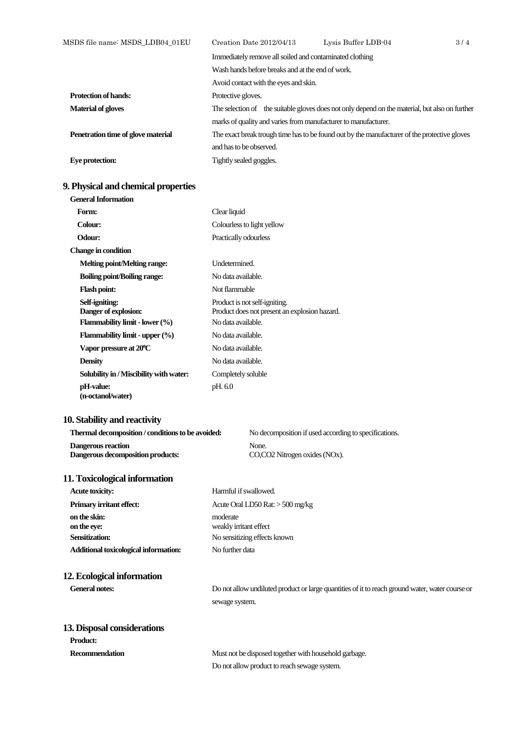| MSDS file name: MSDS_LDB04_01EU    | Creation Date 2012/04/13                                       | Lysis Buffer LDB-04                                                                            | 3/4 |
|------------------------------------|----------------------------------------------------------------|------------------------------------------------------------------------------------------------|-----|
|                                    | Immediately remove all soiled and contaminated clothing        |                                                                                                |     |
|                                    | Wash hands before breaks and at the end of work.               |                                                                                                |     |
|                                    | Avoid contact with the eyes and skin.                          |                                                                                                |     |
| <b>Protection of hands:</b>        | Protective gloves.                                             |                                                                                                |     |
| <b>Material of gloves</b>          |                                                                | The selection of the suitable gloves does not only depend on the material, but also on further |     |
|                                    | marks of quality and varies from manufacturer to manufacturer. |                                                                                                |     |
| Penetration time of glove material |                                                                | The exact break trough time has to be found out by the manufacturer of the protective gloves   |     |
|                                    | and has to be observed.                                        |                                                                                                |     |
| Eye protection:                    | Tightly sealed goggles.                                        |                                                                                                |     |

# **9. Physical and chemical properties**

| <b>General Information</b>                          |                                                                                |
|-----------------------------------------------------|--------------------------------------------------------------------------------|
| Form:                                               | Clear liquid                                                                   |
| Colour:                                             | Colourless to light yellow                                                     |
| <b>Odour:</b>                                       | Practically odourless                                                          |
| <b>Change in condition</b>                          |                                                                                |
| Melting point/Melting range:                        | Undetermined.                                                                  |
| <b>Boiling point/Boiling range:</b>                 | No data available.                                                             |
| <b>Flash point:</b>                                 | Not flammable                                                                  |
| Self-igniting:<br>Danger of explosion:              | Product is not self-igniting.<br>Product does not present an explosion hazard. |
| <b>Flammability limit - lower <math>(\%)</math></b> | No data available.                                                             |
| Flammability limit - upper $(\%)$                   | No data available.                                                             |
| Vapor pressure at 20°C                              | No data available.                                                             |
| <b>Density</b>                                      | No data available.                                                             |
| Solubility in / Miscibility with water:             | Completely soluble                                                             |
| pH-value:<br>(n-octanol/water)                      | pH. 6.0                                                                        |

# **10. Stability and reactivity**

| Thermal decomposition / conditions to be avoided: | No decomposition if used according to specifications. |
|---------------------------------------------------|-------------------------------------------------------|
| Dangerous reaction                                | None.                                                 |
| Dangerous decomposition products:                 | CO,CO2 Nitrogen oxides (NOx).                         |

# **11. Toxicological information**

| <b>Acute toxicity:</b>                | Harmful if swallowed.              |
|---------------------------------------|------------------------------------|
| <b>Primary irritant effect:</b>       | Acute Oral LD50 Rat: $>$ 500 mg/kg |
| on the skin:<br>on the eye:           | moderate<br>weakly irritant effect |
| <b>Sensitization:</b>                 | No sensitizing effects known       |
| Additional toxicological information: | No further data                    |

# **12. Ecological information**

General notes:<br>
Do not allow undiluted product or large quantities of it to reach ground water, water course or sewage system.

# **13. Disposal considerations**

| <b>Product:</b> |                                                       |
|-----------------|-------------------------------------------------------|
| Recommendation  | Must not be disposed together with household garbage. |
|                 | Do not allow product to reach sewage system.          |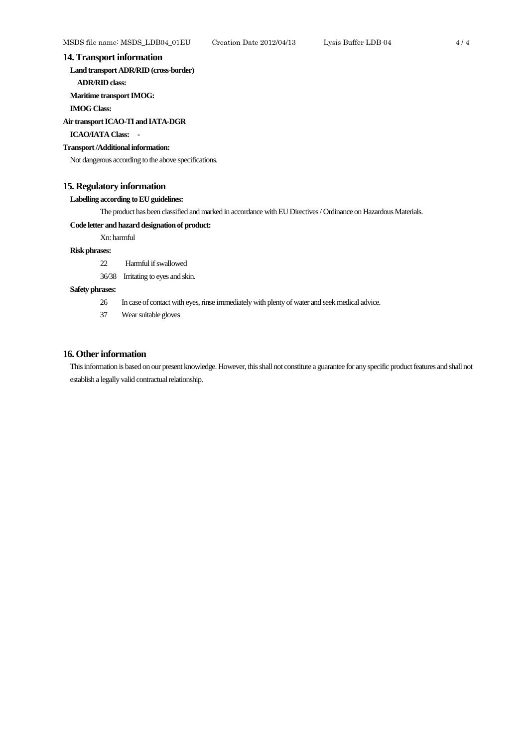#### **14. Transport information**

**Land transport ADR/RID (cross-border)**

**ADR/RID class:**

**Maritime transport IMOG:**

**IMOG Class:**

**Air transport ICAO-TI and IATA-DGR**

#### **ICAO/IATA Class: -**

#### **Transport /Additional information:**

Not dangerous according to the above specifications.

#### **15. Regulatory information**

**Labelling according to EU guidelines:**

The product has been classified and marked in accordance with EU Directives / Ordinance on Hazardous Materials.

#### **Code letter and hazard designationof product:**

Xn: harmful

# **Risk phrases:**

- 22 Harmful if swallowed
- 36/38 Irritating to eyes and skin.

## **Safety phrases:**

- 26 In case of contact with eyes, rinse immediately with plenty of water and seek medical advice.
- 37 Wear suitable gloves

# **16. Other information**

This information is based on our present knowledge. However, this shall not constitute a guarantee for any specific product features and shall not establish a legally valid contractual relationship.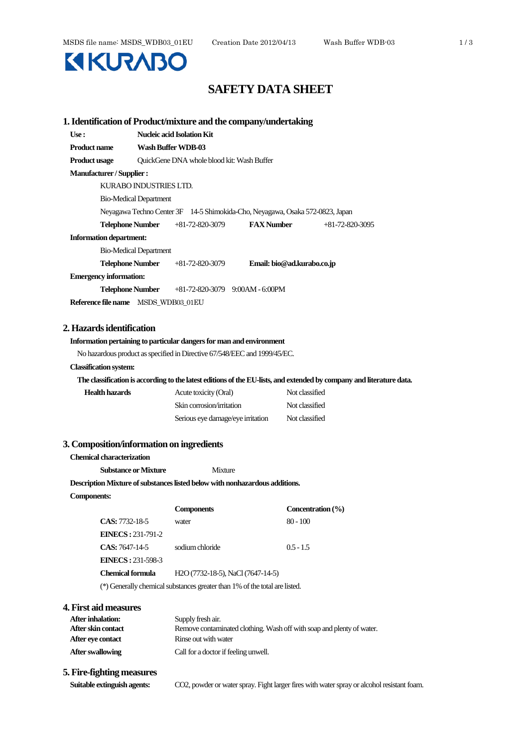

| Use:                                      |                                            | <b>Nucleic acid Isolation Kit</b>                                             |                            |                   |                                                                                                                      |
|-------------------------------------------|--------------------------------------------|-------------------------------------------------------------------------------|----------------------------|-------------------|----------------------------------------------------------------------------------------------------------------------|
| <b>Product name</b>                       | Wash Buffer WDB-03                         |                                                                               |                            |                   |                                                                                                                      |
| <b>Product usage</b>                      | QuickGene DNA whole blood kit: Wash Buffer |                                                                               |                            |                   |                                                                                                                      |
| <b>Manufacturer / Supplier :</b>          |                                            |                                                                               |                            |                   |                                                                                                                      |
| KURABO INDUSTRIES LTD.                    |                                            |                                                                               |                            |                   |                                                                                                                      |
| <b>Bio-Medical Department</b>             |                                            |                                                                               |                            |                   |                                                                                                                      |
|                                           |                                            | Neyagawa Techno Center 3F 14-5 Shimokida-Cho, Neyagawa, Osaka 572-0823, Japan |                            |                   |                                                                                                                      |
| <b>Telephone Number</b>                   |                                            | $+81-72-820-3079$                                                             | <b>FAX</b> Number          |                   | $+81-72-820-3095$                                                                                                    |
| <b>Information department:</b>            |                                            |                                                                               |                            |                   |                                                                                                                      |
| <b>Bio-Medical Department</b>             |                                            |                                                                               |                            |                   |                                                                                                                      |
| <b>Telephone Number</b>                   |                                            | $+81-72-820-3079$                                                             | Email: bio@ad.kurabo.co.jp |                   |                                                                                                                      |
| <b>Emergency information:</b>             |                                            |                                                                               |                            |                   |                                                                                                                      |
| <b>Telephone Number</b>                   |                                            | $+81-72-820-3079$ 9:00AM - 6:00PM                                             |                            |                   |                                                                                                                      |
| Reference file name MSDS_WDB03_01EU       |                                            |                                                                               |                            |                   |                                                                                                                      |
|                                           |                                            |                                                                               |                            |                   |                                                                                                                      |
| 2. Hazards identification                 |                                            |                                                                               |                            |                   |                                                                                                                      |
|                                           |                                            | Information pertaining to particular dangers for man and environment          |                            |                   |                                                                                                                      |
|                                           |                                            | No hazardous product as specified in Directive 67/548/EEC and 1999/45/EC.     |                            |                   |                                                                                                                      |
| <b>Classification system:</b>             |                                            |                                                                               |                            |                   |                                                                                                                      |
|                                           |                                            |                                                                               |                            |                   | The classification is according to the latest editions of the EU-lists, and extended by company and literature data. |
| <b>Health hazards</b>                     |                                            | Acute toxicity (Oral)                                                         |                            | Not classified    |                                                                                                                      |
|                                           |                                            | Skin corrosion/irritation                                                     |                            | Not classified    |                                                                                                                      |
|                                           |                                            | Serious eye damage/eye irritation                                             |                            | Not classified    |                                                                                                                      |
|                                           |                                            |                                                                               |                            |                   |                                                                                                                      |
| 3. Composition/information on ingredients |                                            |                                                                               |                            |                   |                                                                                                                      |
| Chemical characterization                 |                                            |                                                                               |                            |                   |                                                                                                                      |
| <b>Substance or Mixture</b>               |                                            | Mixture                                                                       |                            |                   |                                                                                                                      |
|                                           |                                            | Description Mixture of substances listed below with nonhazardous additions.   |                            |                   |                                                                                                                      |
| <b>Components:</b>                        |                                            |                                                                               |                            |                   |                                                                                                                      |
|                                           |                                            | <b>Components</b>                                                             |                            | Concentration (%) |                                                                                                                      |
| <b>CAS:</b> 7732-18-5                     |                                            | water                                                                         |                            | $80 - 100$        |                                                                                                                      |
| <b>EINECS</b> : 231-791-2                 |                                            |                                                                               |                            |                   |                                                                                                                      |
| CAS: 7647-14-5                            |                                            | sodium chloride                                                               |                            | $0.5 - 1.5$       |                                                                                                                      |
| <b>EINECS: 231-598-3</b>                  |                                            |                                                                               |                            |                   |                                                                                                                      |
| <b>Chemical formula</b>                   |                                            | H <sub>2</sub> O (7732-18-5), NaCl (7647-14-5)                                |                            |                   |                                                                                                                      |
|                                           |                                            | (*) Generally chemical substances greater than 1% of the total are listed.    |                            |                   |                                                                                                                      |
| 4. First aid measures                     |                                            |                                                                               |                            |                   |                                                                                                                      |
| After inhalation:                         |                                            | Supply fresh air.                                                             |                            |                   |                                                                                                                      |
| After skin contact                        |                                            | Remove contaminated clothing. Wash off with soap and plenty of water.         |                            |                   |                                                                                                                      |
| After eye contact                         |                                            | Rinse out with water                                                          |                            |                   |                                                                                                                      |
| <b>After swallowing</b>                   |                                            | Call for a doctor if feeling unwell.                                          |                            |                   |                                                                                                                      |
| 5. Fire-fighting measures                 |                                            |                                                                               |                            |                   |                                                                                                                      |

**Suitable extinguish agents:** CO2, powder or water spray. Fight larger fires with water spray or alcohol resistant foam.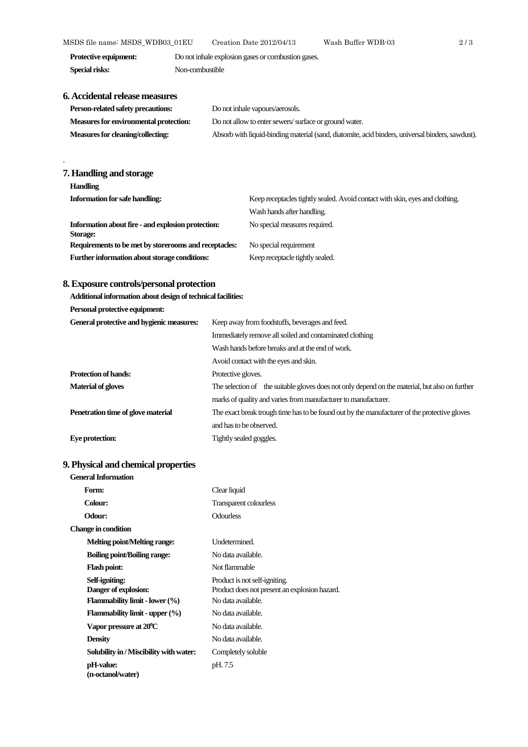MSDS file name: MSDS\_WDB03\_01EU Creation Date 2012/04/13 Wash Buffer WDB-03 2 / 3

| Protective equipment: | Do not inhale explosion gases or combustion gases. |
|-----------------------|----------------------------------------------------|
| Special risks:        | Non-combustible                                    |

# **6. Accidental release measures**

| Person-related safety precautions:     | Do not inhale vapours/aerosols.                                                                  |  |  |
|----------------------------------------|--------------------------------------------------------------------------------------------------|--|--|
| Measures for environmental protection: | Do not allow to enter sewers/surface or ground water.                                            |  |  |
| Measures for cleaning/collecting:      | Absorb with liquid-binding material (sand, diatomite, acid binders, universal binders, sawdust). |  |  |

# **7. Handling and storage**

.

| <b>Handling</b>                                                                                                       |                                 |  |  |
|-----------------------------------------------------------------------------------------------------------------------|---------------------------------|--|--|
| <b>Information for safe handling:</b><br>Keep receptacles tightly sealed. Avoid contact with skin, eyes and clothing. |                                 |  |  |
|                                                                                                                       | Wash hands after handling.      |  |  |
| Information about fire - and explosion protection:<br><b>Storage:</b>                                                 | No special measures required.   |  |  |
| Requirements to be met by storerooms and receptacles:                                                                 | No special requirement          |  |  |
| Further information about storage conditions:                                                                         | Keep receptacle tightly sealed. |  |  |

# **8. Exposure controls/personal protection**

**Additional information about design of technical facilities:**

**Personal protective equipment:**

| General protective and hygienic measures: | Keep away from foodstuffs, beverages and feed.                                                 |  |  |  |  |
|-------------------------------------------|------------------------------------------------------------------------------------------------|--|--|--|--|
|                                           | Immediately remove all soiled and contaminated clothing                                        |  |  |  |  |
|                                           | Wash hands before breaks and at the end of work.                                               |  |  |  |  |
|                                           | Avoid contact with the eyes and skin.                                                          |  |  |  |  |
| <b>Protection of hands:</b>               | Protective gloves.                                                                             |  |  |  |  |
| <b>Material of gloves</b>                 | The selection of the suitable gloves does not only depend on the material, but also on further |  |  |  |  |
|                                           | marks of quality and varies from manufacturer to manufacturer.                                 |  |  |  |  |
| Penetration time of glove material        | The exact break trough time has to be found out by the manufacturer of the protective gloves   |  |  |  |  |
|                                           | and has to be observed.                                                                        |  |  |  |  |
| Eye protection:                           | Tightly sealed goggles.                                                                        |  |  |  |  |

# **9. Physical and chemical properties**

| <b>General Information</b>                                                                    |                                                                                                      |
|-----------------------------------------------------------------------------------------------|------------------------------------------------------------------------------------------------------|
| Form:                                                                                         | Clear liquid                                                                                         |
| Colour:                                                                                       | <b>Transparent colourless</b>                                                                        |
| Odour:                                                                                        | <b>Odourless</b>                                                                                     |
| Change in condition                                                                           |                                                                                                      |
| Melting point/Melting range:                                                                  | Undetermined.                                                                                        |
| <b>Boiling point/Boiling range:</b>                                                           | No data available.                                                                                   |
| <b>Flash point:</b>                                                                           | Not flammable                                                                                        |
| Self-igniting:<br>Danger of explosion:<br><b>Flammability limit - lower <math>(\%)</math></b> | Product is not self-igniting.<br>Product does not present an explosion hazard.<br>No data available. |
| Flammability limit - upper $(\% )$                                                            | No data available.                                                                                   |
| Vapor pressure at 20°C                                                                        | No data available.                                                                                   |
| <b>Density</b>                                                                                | No data available.                                                                                   |
| Solubility in / Miscibility with water:                                                       | Completely soluble                                                                                   |
| pH-value:<br>(n-octanol/water)                                                                | pH. 7.5                                                                                              |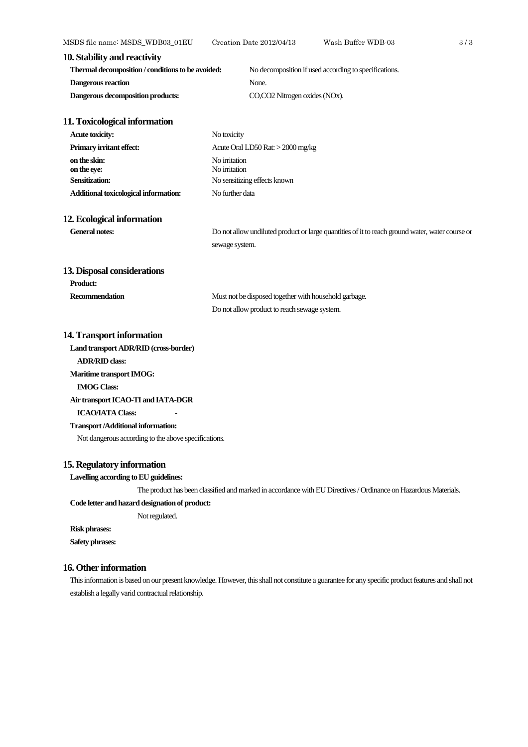| 10. Stability and reactivity                      |                                                       |
|---------------------------------------------------|-------------------------------------------------------|
| Thermal decomposition / conditions to be avoided: | No decomposition if used according to specifications. |
| Dangerous reaction                                | None.                                                 |
| Dangerous decomposition products:                 | CO.CO2 Nitrogen oxides (NOx).                         |

#### **11. Toxicological information**

| <b>Acute toxicity:</b>                | No toxicity                       |
|---------------------------------------|-----------------------------------|
| <b>Primary irritant effect:</b>       | Acute Oral LD50 Rat: > 2000 mg/kg |
| on the skin:<br>on the eye:           | No irritation<br>No irritation    |
| <b>Sensitization:</b>                 | No sensitizing effects known      |
| Additional toxicological information: | No further data                   |

# **12. Ecological information**

**Product:**

General notes: Do not allow undiluted product or large quantities of it to reach ground water, water course or sewage system.

#### **13. Disposal considerations**

| Recommendation | Must not be disposed together with household garbage. |
|----------------|-------------------------------------------------------|
|                | Do not allow product to reach sewage system.          |

#### **14. Transport information**

**Land transport ADR/RID (cross-border)**

**ADR/RID class:**

**Maritime transport IMOG:**

#### **IMOG Class:**

**Air transport ICAO-TI and IATA-DGR**

#### **ICAO/IATA Class:**

#### **Transport /Additional information:**

Not dangerous according to the above specifications.

## **15. Regulatory information**

#### **Lavelling according to EU guidelines:**

The product has been classified and marked in accordance with EU Directives / Ordinance on Hazardous Materials.

#### Code letter and hazard designation of product:

Not regulated.

# **Risk phrases:**

**Safety phrases:**

# **16. Other information**

This information is based on our present knowledge. However, this shall not constitute a guarantee for any specific product features and shall not establish a legally varid contractual relationship.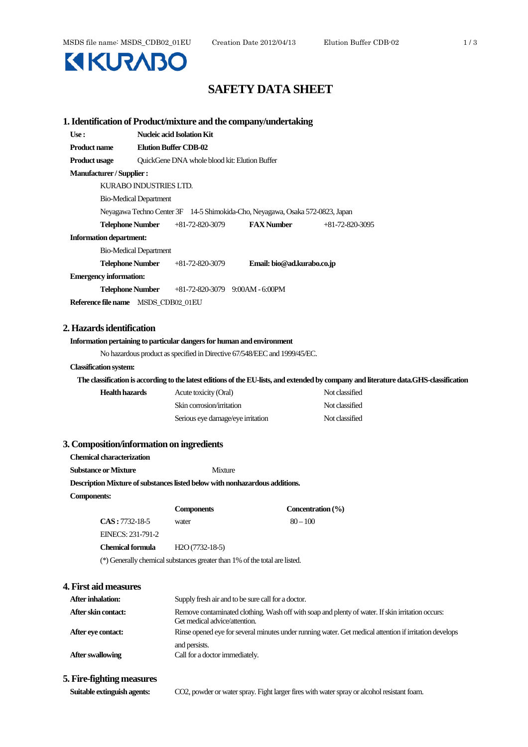# **KIKURABO**

# **SAFETY DATA SHEET**

|                                  | 1. Identification of Product/mixture and the company/undertaking              |                                                    |                                                                                                                                         |  |  |  |
|----------------------------------|-------------------------------------------------------------------------------|----------------------------------------------------|-----------------------------------------------------------------------------------------------------------------------------------------|--|--|--|
| Use:                             | Nucleic acid Isolation Kit                                                    |                                                    |                                                                                                                                         |  |  |  |
| <b>Product name</b>              | <b>Elution Buffer CDB-02</b>                                                  |                                                    |                                                                                                                                         |  |  |  |
| <b>Product usage</b>             | QuickGene DNA whole blood kit: Elution Buffer                                 |                                                    |                                                                                                                                         |  |  |  |
| <b>Manufacturer / Supplier :</b> |                                                                               |                                                    |                                                                                                                                         |  |  |  |
|                                  | KURABO INDUSTRIES LTD.                                                        |                                                    |                                                                                                                                         |  |  |  |
|                                  | <b>Bio-Medical Department</b>                                                 |                                                    |                                                                                                                                         |  |  |  |
|                                  | Neyagawa Techno Center 3F 14-5 Shimokida-Cho, Neyagawa, Osaka 572-0823, Japan |                                                    |                                                                                                                                         |  |  |  |
| <b>Telephone Number</b>          | +81-72-820-3079                                                               | <b>FAX</b> Number                                  | $+81-72-820-3095$                                                                                                                       |  |  |  |
| <b>Information department:</b>   |                                                                               |                                                    |                                                                                                                                         |  |  |  |
|                                  | <b>Bio-Medical Department</b>                                                 |                                                    |                                                                                                                                         |  |  |  |
| <b>Telephone Number</b>          | $+81-72-820-3079$                                                             | Email: bio@ad.kurabo.co.jp                         |                                                                                                                                         |  |  |  |
| <b>Emergency information:</b>    |                                                                               |                                                    |                                                                                                                                         |  |  |  |
| <b>Telephone Number</b>          |                                                                               | $+81-72-820-3079$ 9:00AM - 6:00PM                  |                                                                                                                                         |  |  |  |
|                                  | Reference file name MSDS_CDB02_01EU                                           |                                                    |                                                                                                                                         |  |  |  |
|                                  |                                                                               |                                                    |                                                                                                                                         |  |  |  |
| 2. Hazards identification        |                                                                               |                                                    |                                                                                                                                         |  |  |  |
|                                  | Information pertaining to particular dangers for human and environment        |                                                    |                                                                                                                                         |  |  |  |
|                                  | No hazardous product as specified in Directive 67/548/EEC and 1999/45/EC.     |                                                    |                                                                                                                                         |  |  |  |
| <b>Classification system:</b>    |                                                                               |                                                    |                                                                                                                                         |  |  |  |
|                                  |                                                                               |                                                    | The classification is according to the latest editions of the EU-lists, and extended by company and literature data. GHS-classification |  |  |  |
| <b>Health hazards</b>            | Acute toxicity (Oral)                                                         |                                                    | Not classified                                                                                                                          |  |  |  |
|                                  | Skin corrosion/irritation                                                     |                                                    | Not classified                                                                                                                          |  |  |  |
|                                  | Serious eye damage/eye irritation                                             |                                                    | Not classified                                                                                                                          |  |  |  |
|                                  |                                                                               |                                                    |                                                                                                                                         |  |  |  |
|                                  | 3. Composition/information on ingredients                                     |                                                    |                                                                                                                                         |  |  |  |
| <b>Chemical characterization</b> |                                                                               |                                                    |                                                                                                                                         |  |  |  |
| <b>Substance or Mixture</b>      | <b>Mixture</b>                                                                |                                                    |                                                                                                                                         |  |  |  |
|                                  | Description Mixture of substances listed below with nonhazardous additions.   |                                                    |                                                                                                                                         |  |  |  |
| <b>Components:</b>               |                                                                               |                                                    |                                                                                                                                         |  |  |  |
|                                  | <b>Components</b>                                                             |                                                    | Concentration (%)                                                                                                                       |  |  |  |
| $CAS: 7732-18-5$                 | water                                                                         | $80 - 100$                                         |                                                                                                                                         |  |  |  |
| EINECS: 231-791-2                |                                                                               |                                                    |                                                                                                                                         |  |  |  |
| <b>Chemical formula</b>          | $H2O(7732-18-5)$                                                              |                                                    |                                                                                                                                         |  |  |  |
|                                  | (*) Generally chemical substances greater than 1% of the total are listed.    |                                                    |                                                                                                                                         |  |  |  |
|                                  |                                                                               |                                                    |                                                                                                                                         |  |  |  |
| 4. First aid measures            |                                                                               |                                                    |                                                                                                                                         |  |  |  |
| After inhalation:                |                                                                               | Supply fresh air and to be sure call for a doctor. |                                                                                                                                         |  |  |  |
| After skin contact:              |                                                                               |                                                    | Remove contaminated clothing. Wash off with soap and plenty of water. If skin irritation occurs:                                        |  |  |  |
|                                  | Get medical advice/attention.                                                 |                                                    |                                                                                                                                         |  |  |  |
| After eye contact:               |                                                                               |                                                    | Rinse opened eye for several minutes under running water. Get medical attention if irritation develops                                  |  |  |  |
|                                  | and persists.                                                                 |                                                    |                                                                                                                                         |  |  |  |
| <b>After swallowing</b>          | Call for a doctor immediately.                                                |                                                    |                                                                                                                                         |  |  |  |
| T.P                              |                                                                               |                                                    |                                                                                                                                         |  |  |  |

**5. Fire-fighting measures**

**Suitable extinguish agents:** CO2, powder or water spray. Fight larger fires with water spray or alcohol resistant foam.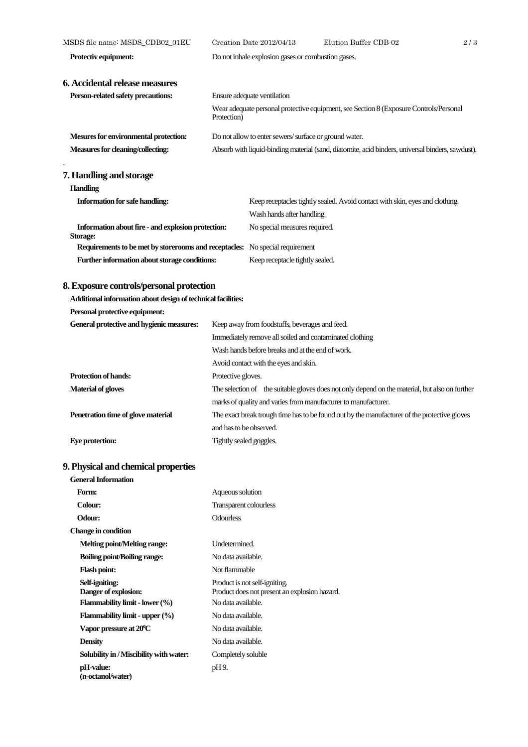| MSDS file name: MSDS_CDB02_01EU                                                     |                                                                                                       | Creation Date 2012/04/13                           | Elution Buffer CDB-02                                                        | 2/3 |
|-------------------------------------------------------------------------------------|-------------------------------------------------------------------------------------------------------|----------------------------------------------------|------------------------------------------------------------------------------|-----|
| Protectiv equipment:                                                                |                                                                                                       | Do not inhale explosion gases or combustion gases. |                                                                              |     |
|                                                                                     |                                                                                                       |                                                    |                                                                              |     |
| 6. Accidental release measures                                                      |                                                                                                       |                                                    |                                                                              |     |
| Person-related safety precautions:                                                  | Ensure adequate ventilation                                                                           |                                                    |                                                                              |     |
|                                                                                     | Wear adequate personal protective equipment, see Section 8 (Exposure Controls/Personal<br>Protection) |                                                    |                                                                              |     |
| Mesures for environmental protection:                                               | Do not allow to enter sewers/surface or ground water.                                                 |                                                    |                                                                              |     |
| Measures for cleaning/collecting:                                                   | Absorb with liquid-binding material (sand, diatomite, acid binders, universal binders, sawdust).      |                                                    |                                                                              |     |
| 7. Handling and storage                                                             |                                                                                                       |                                                    |                                                                              |     |
| <b>Handling</b>                                                                     |                                                                                                       |                                                    |                                                                              |     |
| <b>Information for safe handling:</b>                                               |                                                                                                       |                                                    | Keep receptacles tightly sealed. Avoid contact with skin, eyes and clothing. |     |
|                                                                                     |                                                                                                       | Wash hands after handling.                         |                                                                              |     |
| Information about fire - and explosion protection:<br><b>Storage:</b>               |                                                                                                       | No special measures required.                      |                                                                              |     |
| <b>Requirements to be met by storerooms and receptacles:</b> No special requirement |                                                                                                       |                                                    |                                                                              |     |
| Further information about storage conditions:                                       |                                                                                                       | Keep receptacle tightly sealed.                    |                                                                              |     |
| 8. Exposure controls/personal protection                                            |                                                                                                       |                                                    |                                                                              |     |

# **Additional information about design of technical facilities:**

**Personal protective equipment:**

| General protective and hygienic measures: | Keep away from foodstuffs, beverages and feed.                                                 |  |
|-------------------------------------------|------------------------------------------------------------------------------------------------|--|
|                                           | Immediately remove all soiled and contaminated clothing                                        |  |
|                                           | Wash hands before breaks and at the end of work.                                               |  |
|                                           | Avoid contact with the eyes and skin.                                                          |  |
| <b>Protection of hands:</b>               | Protective gloves.                                                                             |  |
| <b>Material of gloves</b>                 | The selection of the suitable gloves does not only depend on the material, but also on further |  |
|                                           | marks of quality and varies from manufacturer to manufacturer.                                 |  |
| Penetration time of glove material        | The exact break trough time has to be found out by the manufacturer of the protective gloves   |  |
|                                           | and has to be observed.                                                                        |  |
| Eye protection:                           | Tightly sealed goggles.                                                                        |  |

# **9. Physical and chemical properties**

| General Information                     |                                                                                |
|-----------------------------------------|--------------------------------------------------------------------------------|
| Form:                                   | Aqueous solution                                                               |
| <b>Colour:</b>                          | <b>Transparent colourless</b>                                                  |
| <b>Odour:</b>                           | <b>Odourless</b>                                                               |
| Change in condition                     |                                                                                |
| <b>Melting point/Melting range:</b>     | Undetermined.                                                                  |
| <b>Boiling point/Boiling range:</b>     | No data available.                                                             |
| <b>Flash point:</b>                     | Not flammable                                                                  |
| Self-igniting:<br>Danger of explosion:  | Product is not self-igniting.<br>Product does not present an explosion hazard. |
| Flammability limit - lower $(\% )$      | No data available.                                                             |
| Flammability limit - upper $(\%)$       | No data available.                                                             |
| Vapor pressure at 20°C                  | No data available.                                                             |
| <b>Density</b>                          | No data available.                                                             |
| Solubility in / Miscibility with water: | Completely soluble                                                             |
| pH-value:<br>(n-octanol/water)          | pH 9.                                                                          |